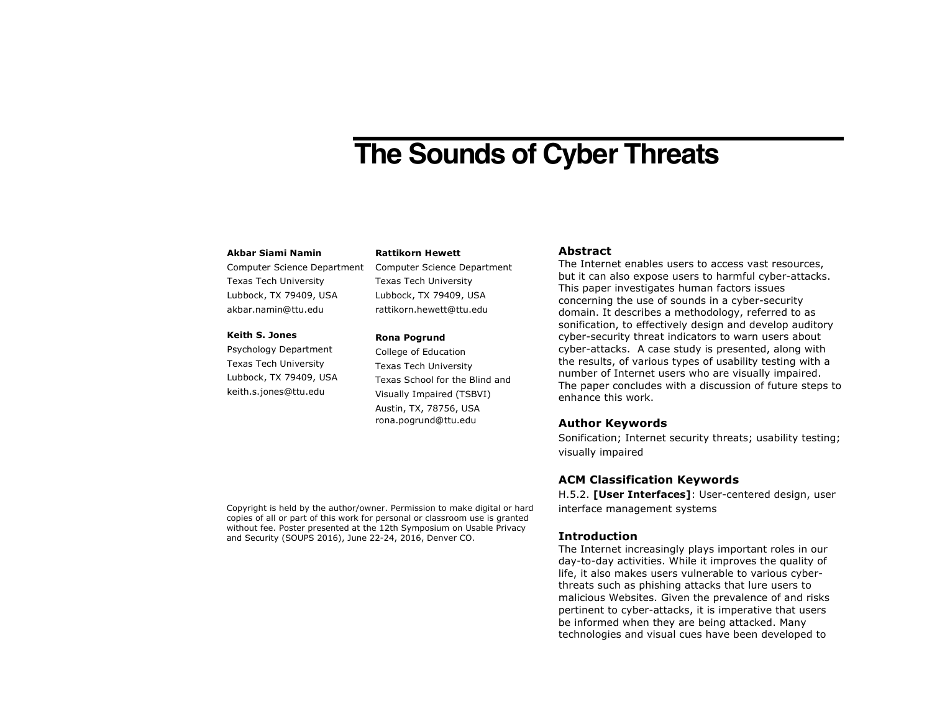# **The Sounds of Cyber Threats**

### **Akbar Siami Namin**

Computer Science Department Texas Tech University Lubbock, TX 79409, USA akbar.namin@ttu.edu

## **Keith S. Jones**

Psychology Department Texas Tech University Lubbock, TX 79409, USA keith.s.jones@ttu.edu

## **Rattikorn Hewett**

Computer Science Department Texas Tech University Lubbock, TX 79409, USA rattikorn.hewett@ttu.edu

#### **Rona Pogrund**

College of Education Texas Tech University Texas School for the Blind and Visually Impaired (TSBVI) Austin, TX, 78756, USA rona.pogrund@ttu.edu

## **Abstract**

The Internet enables users to access vast resources, but it can also expose users to harmful cyber-attacks. This paper investigates human factors issues concerning the use of sounds in a cyber-security domain. It describes a methodology, referred to as sonification, to effectively design and develop auditory cyber-security threat indicators to warn users about cyber-attacks. A case study is presented, along with the results, of various types of usability testing with a number of Internet users who are visually impaired. The paper concludes with a discussion of future steps to enhance this work.

## **Author Keywords**

Sonification; Internet security threats; usability testing; visually impaired

# **ACM Classification Keywords**

H.5.2. **[User Interfaces]**: User-centered design, user interface management systems

## **Introduction**

The Internet increasingly plays important roles in our day-to-day activities. While it improves the quality of life, it also makes users vulnerable to various cyberthreats such as phishing attacks that lure users to malicious Websites. Given the prevalence of and risks pertinent to cyber-attacks, it is imperative that users be informed when they are being attacked. Many technologies and visual cues have been developed to

Copyright is held by the author/owner. Permission to make digital or hard copies of all or part of this work for personal or classroom use is granted without fee. Poster presented at the 12th Symposium on Usable Privacy and Security (SOUPS 2016), June 22-24, 2016, Denver CO.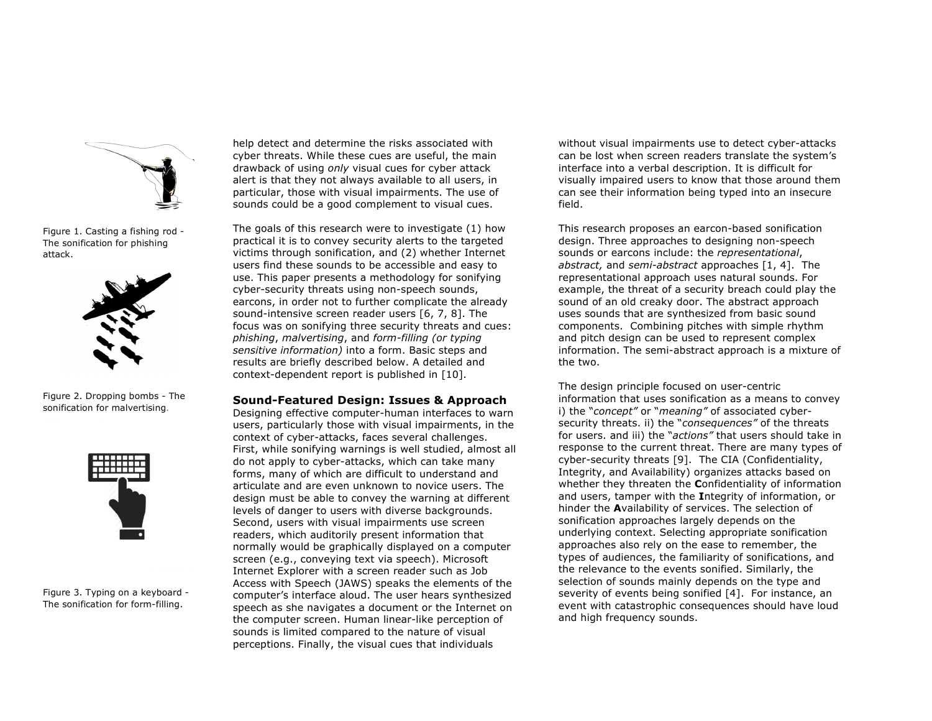

Figure 1. Casting a fishing rod - The sonification for phishing attack.



Figure 2. Dropping bombs - The sonification for malvertising.



Figure 3. Typing on a keyboard - The sonification for form-filling.

help detect and determine the risks associated with cyber threats. While these cues are useful, the main drawback of using *only* visual cues for cyber attack alert is that they not always available to all users, in particular, those with visual impairments. The use of sounds could be a good complement to visual cues.

The goals of this research were to investigate (1) how practical it is to convey security alerts to the targeted victims through sonification, and (2) whether Internet users find these sounds to be accessible and easy to use. This paper presents a methodology for sonifying cyber-security threats using non-speech sounds, earcons, in order not to further complicate the already sound-intensive screen reader users [6, 7, 8]. The focus was on sonifying three security threats and cues: *phishing*, *malvertising*, and *form-filling (or typing sensitive information)* into a form. Basic steps and results are briefly described below. A detailed and context-dependent report is published in [10].

#### **Sound-Featured Design: Issues & Approach**

Designing effective computer-human interfaces to warn users, particularly those with visual impairments, in the context of cyber-attacks, faces several challenges. First, while sonifying warnings is well studied, almost all do not apply to cyber-attacks, which can take many forms, many of which are difficult to understand and articulate and are even unknown to novice users. The design must be able to convey the warning at different levels of danger to users with diverse backgrounds. Second, users with visual impairments use screen readers, which auditorily present information that normally would be graphically displayed on a computer screen (e.g., conveying text via speech). Microsoft Internet Explorer with a screen reader such as Job Access with Speech (JAWS) speaks the elements of the computer's interface aloud. The user hears synthesized speech as she navigates a document or the Internet on the computer screen. Human linear-like perception of sounds is limited compared to the nature of visual perceptions. Finally, the visual cues that individuals

without visual impairments use to detect cyber-attacks can be lost when screen readers translate the system's interface into a verbal description. It is difficult for visually impaired users to know that those around them can see their information being typed into an insecure field.

This research proposes an earcon-based sonification design. Three approaches to designing non-speech sounds or earcons include: the *representational*, *abstract,* and *semi-abstract* approaches [1, 4]. The representational approach uses natural sounds. For example, the threat of a security breach could play the sound of an old creaky door. The abstract approach uses sounds that are synthesized from basic sound components. Combining pitches with simple rhythm and pitch design can be used to represent complex information. The semi-abstract approach is a mixture of the two.

The design principle focused on user-centric information that uses sonification as a means to convey i) the "*concept"* or "*meaning"* of associated cybersecurity threats. ii) the "*consequences"* of the threats for users. and iii) the "*actions"* that users should take in response to the current threat. There are many types of cyber-security threats [9]. The CIA (Confidentiality, Integrity, and Availability) organizes attacks based on whether they threaten the **C**onfidentiality of information and users, tamper with the **I**ntegrity of information, or hinder the **A**vailability of services. The selection of sonification approaches largely depends on the underlying context. Selecting appropriate sonification approaches also rely on the ease to remember, the types of audiences, the familiarity of sonifications, and the relevance to the events sonified. Similarly, the selection of sounds mainly depends on the type and severity of events being sonified [4]. For instance, an event with catastrophic consequences should have loud and high frequency sounds.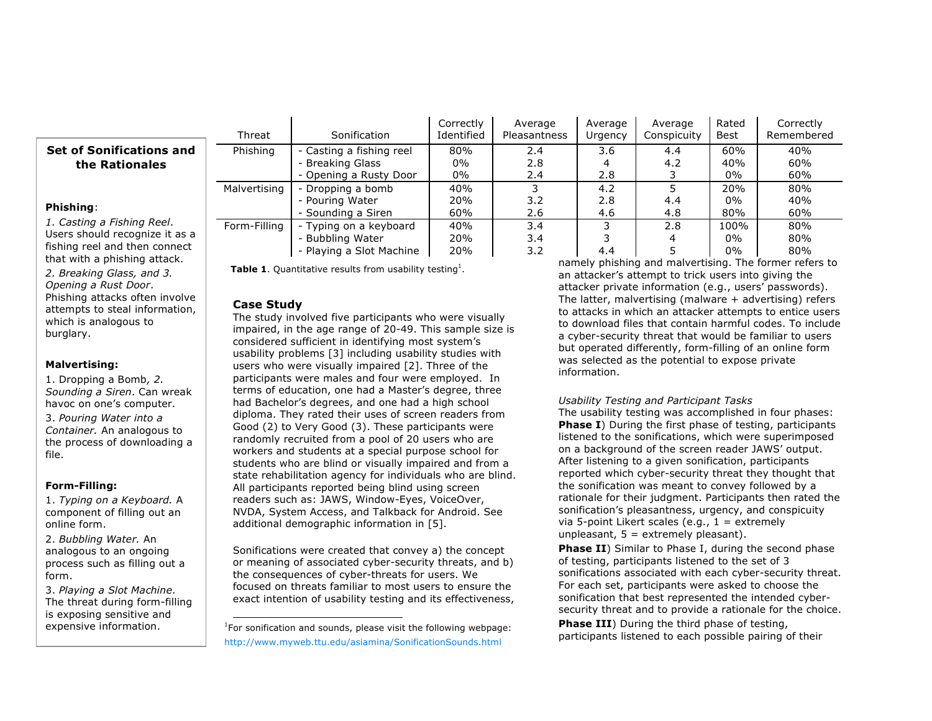|                                                                                                            | Threat       | Sonification                                                           | Correctly<br>Identified | Average<br><b>Pleasantness</b> | Average<br>Urgency | Average<br>Conspicuity | Rated<br>Best       | Correctly<br>Remembered |
|------------------------------------------------------------------------------------------------------------|--------------|------------------------------------------------------------------------|-------------------------|--------------------------------|--------------------|------------------------|---------------------|-------------------------|
| <b>Set of Sonifications and</b><br>the Rationales                                                          | Phishing     | - Casting a fishing reel<br>- Breaking Glass<br>- Opening a Rusty Door | 80%<br>0%<br>0%         | 2.4<br>2.8<br>2.4              | 3.6<br>2.8         | 4.4<br>4.2             | 60%<br>40%<br>0%    | 40%<br>60%<br>60%       |
| Phishing:<br>1. Casting a Fishing Reel.<br>Users should recognize it as a<br>fishing reel and then connect | Malvertising | Dropping a bomb<br>- Pouring Water<br>- Sounding a Siren               | 40%<br>20%<br>60%       | 3.2<br>2.6                     | 4.2<br>2.8<br>4.6  | 4.4<br>4.8             | 20%<br>0%<br>80%    | 80%<br>40%<br>60%       |
|                                                                                                            | Form-Filling | Typing on a keyboard<br>· Bubbling Water<br>- Playing a Slot Machine   | 40%<br>20%<br>20%       | 3.4<br>3.4<br>3.2              | 4.4                | 2.8                    | 100%<br>$0\%$<br>0% | 80%<br>80%<br>80%       |

that with a phishing attack. *2. Breaking Glass, and 3. Opening a Rust Door*. Phishing attacks often involve attempts to steal information, which is analogous to burglary.

## **Malvertising:**

1. Dropping a Bomb*, 2. Sounding a Siren*. Can wreak havoc on one's computer. 3. *Pouring Water into a Container.* An analogous to the process of downloading a file.

# **Form-Filling:**

1. *Typing on a Keyboard.* A component of filling out an online form.

2. *Bubbling Water.* An analogous to an ongoing process such as filling out a form.

3. *Playing a Slot Machine*. The threat during form-filling is exposing sensitive and expensive information.

**Table 1.** Quantitative results from usability testing<sup>1</sup>.

# **Case Study**

The study involved five participants who were visually impaired, in the age range of 20-49. This sample size is considered sufficient in identifying most system's usability problems [3] including usability studies with users who were visually impaired [2]. Three of the participants were males and four were employed. In terms of education, one had a Master's degree, three had Bachelor's degrees, and one had a high school diploma. They rated their uses of screen readers from Good (2) to Very Good (3). These participants were randomly recruited from a pool of 20 users who are workers and students at a special purpose school for students who are blind or visually impaired and from a state rehabilitation agency for individuals who are blind. All participants reported being blind using screen readers such as: JAWS, Window-Eyes, VoiceOver, NVDA, System Access, and Talkback for Android. See additional demographic information in [5].

Sonifications were created that convey a) the concept or meaning of associated cyber-security threats, and b) the consequences of cyber-threats for users. We focused on threats familiar to most users to ensure the exact intention of usability testing and its effectiveness,

**The Common Common Common Common Common Common Common Common Common Common Common Common Common Common Common Co**<br><sup>1</sup> For sonification and sounds, please visit the following webpage: http://www.myweb.ttu.edu/asiamina/SonificationSounds.html

namely phishing and malvertising. The former refers to an attacker's attempt to trick users into giving the attacker private information (e.g., users' passwords). The latter, malvertising (malware + advertising) refers to attacks in which an attacker attempts to entice users to download files that contain harmful codes. To include a cyber-security threat that would be familiar to users but operated differently, form-filling of an online form was selected as the potential to expose private information.

# *Usability Testing and Participant Tasks*

The usability testing was accomplished in four phases: **Phase I**) During the first phase of testing, participants listened to the sonifications, which were superimposed on a background of the screen reader JAWS' output. After listening to a given sonification, participants reported which cyber-security threat they thought that the sonification was meant to convey followed by a rationale for their judgment. Participants then rated the sonification's pleasantness, urgency, and conspicuity via 5-point Likert scales (e.g.,  $1 =$  extremely unpleasant,  $5 =$  extremely pleasant).

**Phase II**) Similar to Phase I, during the second phase of testing, participants listened to the set of 3 sonifications associated with each cyber-security threat. For each set, participants were asked to choose the sonification that best represented the intended cybersecurity threat and to provide a rationale for the choice.

**Phase III**) During the third phase of testing, participants listened to each possible pairing of their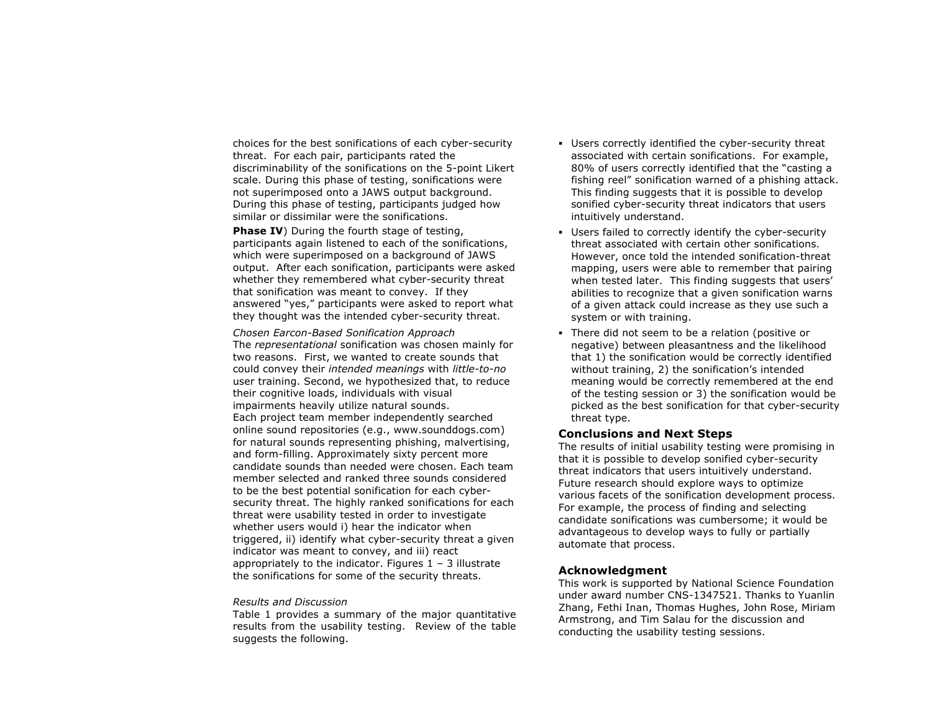choices for the best sonifications of each cyber-security threat. For each pair, participants rated the discriminability of the sonifications on the 5-point Likert scale. During this phase of testing, sonifications were not superimposed onto a JAWS output background. During this phase of testing, participants judged how similar or dissimilar were the sonifications.

**Phase IV**) During the fourth stage of testing, participants again listened to each of the sonifications, which were superimposed on a background of JAWS output. After each sonification, participants were asked whether they remembered what cyber-security threat that sonification was meant to convey. If they answered "yes," participants were asked to report what they thought was the intended cyber-security threat.

*Chosen Earcon-Based Sonification Approach* The *representational* sonification was chosen mainly for two reasons. First, we wanted to create sounds that could convey their *intended meanings* with *little-to-no* user training. Second, we hypothesized that, to reduce their cognitive loads, individuals with visual impairments heavily utilize natural sounds. Each project team member independently searched online sound repositories (e.g., www.sounddogs.com) for natural sounds representing phishing, malvertising, and form-filling. Approximately sixty percent more candidate sounds than needed were chosen. Each team member selected and ranked three sounds considered to be the best potential sonification for each cybersecurity threat. The highly ranked sonifications for each threat were usability tested in order to investigate whether users would i) hear the indicator when triggered, ii) identify what cyber-security threat a given indicator was meant to convey, and iii) react appropriately to the indicator. Figures  $1 - 3$  illustrate the sonifications for some of the security threats.

#### *Results and Discussion*

Table 1 provides a summary of the major quantitative results from the usability testing. Review of the table suggests the following.

- ! Users correctly identified the cyber-security threat associated with certain sonifications. For example, 80% of users correctly identified that the "casting a fishing reel" sonification warned of a phishing attack. This finding suggests that it is possible to develop sonified cyber-security threat indicators that users intuitively understand.
- ! Users failed to correctly identify the cyber-security threat associated with certain other sonifications. However, once told the intended sonification-threat mapping, users were able to remember that pairing when tested later. This finding suggests that users' abilities to recognize that a given sonification warns of a given attack could increase as they use such a system or with training.
- ! There did not seem to be a relation (positive or negative) between pleasantness and the likelihood that 1) the sonification would be correctly identified without training, 2) the sonification's intended meaning would be correctly remembered at the end of the testing session or 3) the sonification would be picked as the best sonification for that cyber-security threat type.

#### **Conclusions and Next Steps**

The results of initial usability testing were promising in that it is possible to develop sonified cyber-security threat indicators that users intuitively understand. Future research should explore ways to optimize various facets of the sonification development process. For example, the process of finding and selecting candidate sonifications was cumbersome; it would be advantageous to develop ways to fully or partially automate that process.

## **Acknowledgment**

This work is supported by National Science Foundation under award number CNS-1347521. Thanks to Yuanlin Zhang, Fethi Inan, Thomas Hughes, John Rose, Miriam Armstrong, and Tim Salau for the discussion and conducting the usability testing sessions.